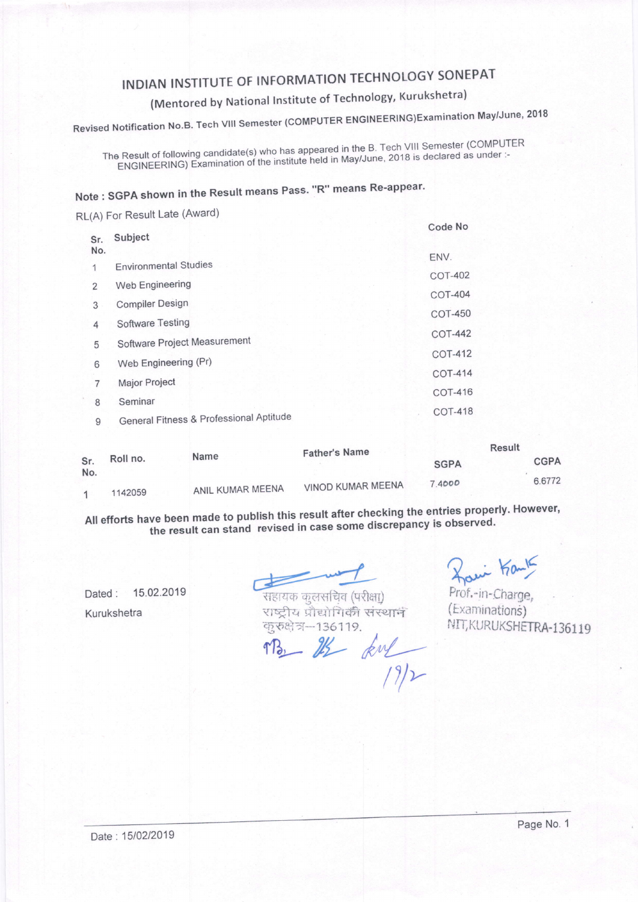### INDIAN INSTITUTE OF INFORMATION TECHNOLOGY SONEPAT

#### (Mentored by National Institute of Technology, Kurukshetra)

Revised Notification No.B. Tech VIII Semester (COMPUTER ENGINEERING)Examination May/June, 2018

The Result of following candidate(s) who has appeared in the B. Tech VIII Semester (COMPUTER Result of following candidate(s) who has appeared in the Dr. .<br>ENGINEERING) Examination of the institute held in May/June, 2018 is declared as under :-

### Note : SGPA shown in the Result means Pass. "R" means Re-appear.

RL(A) For Result Late (Award)

|            |                                         | Code No        |
|------------|-----------------------------------------|----------------|
| Sr.<br>No. | Subject                                 | ENV.           |
| 1          | <b>Environmental Studies</b>            |                |
| 2          | Web Engineering                         | <b>COT-402</b> |
| 3          | <b>Compiler Design</b>                  | <b>COT-404</b> |
|            | Software Testing                        | <b>COT-450</b> |
| 4          |                                         | <b>COT-442</b> |
| 5          | Software Project Measurement            | <b>COT-412</b> |
| 6          | Web Engineering (Pr)                    |                |
| 7          | Major Project                           | <b>COT-414</b> |
|            |                                         | <b>COT-416</b> |
| 8          | Seminar                                 | <b>COT-418</b> |
| 9          | General Fitness & Professional Aptitude |                |

| Sr.<br>No. | Roll no. | Name             | <b>Father's Name</b> | <b>Result</b> |             |  |
|------------|----------|------------------|----------------------|---------------|-------------|--|
|            |          |                  |                      | <b>SGPA</b>   | <b>CGPA</b> |  |
|            |          |                  | VINOD KUMAR MEENA    | 74000         | 6,6772      |  |
|            | 1142059  | ANIL KUMAR MEENA |                      |               |             |  |

All efforts have been made to publish this result after checking the entries properly. However<br>'' All efforts have been made to publish this result after checking the entries properved. the result can stand revised in case some discrepancy is observed.

Dated : 15.02.2019 Kurukshetra

4-{TEmF qftidfm (qft.x| राष्ट्रीय प्रौद्योगिकी संस्था<del>न</del> करुक्षेत्र-136119.  $\frac{136113}{18}$  kul

Havi Kank

Prof,-in-Charge, (Examinations) NIT, KURUKSHETRA-136119

Date: 15/02/2019